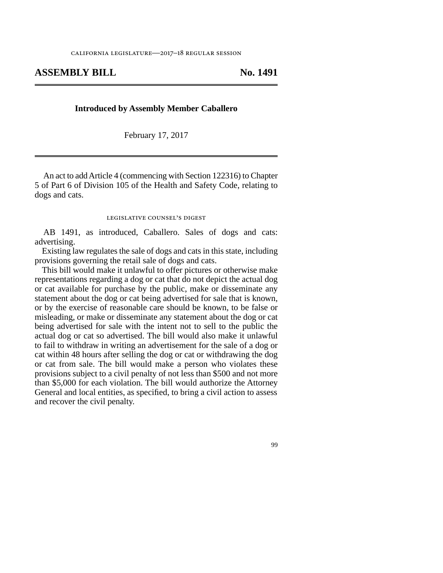## **ASSEMBLY BILL No. 1491**

## **Introduced by Assembly Member Caballero**

February 17, 2017

An act to add Article 4 (commencing with Section 122316) to Chapter 5 of Part 6 of Division 105 of the Health and Safety Code, relating to dogs and cats.

## legislative counsel's digest

AB 1491, as introduced, Caballero. Sales of dogs and cats: advertising.

Existing law regulates the sale of dogs and cats in this state, including provisions governing the retail sale of dogs and cats.

This bill would make it unlawful to offer pictures or otherwise make representations regarding a dog or cat that do not depict the actual dog or cat available for purchase by the public, make or disseminate any statement about the dog or cat being advertised for sale that is known, or by the exercise of reasonable care should be known, to be false or misleading, or make or disseminate any statement about the dog or cat being advertised for sale with the intent not to sell to the public the actual dog or cat so advertised. The bill would also make it unlawful to fail to withdraw in writing an advertisement for the sale of a dog or cat within 48 hours after selling the dog or cat or withdrawing the dog or cat from sale. The bill would make a person who violates these provisions subject to a civil penalty of not less than \$500 and not more than \$5,000 for each violation. The bill would authorize the Attorney General and local entities, as specified, to bring a civil action to assess and recover the civil penalty.

99